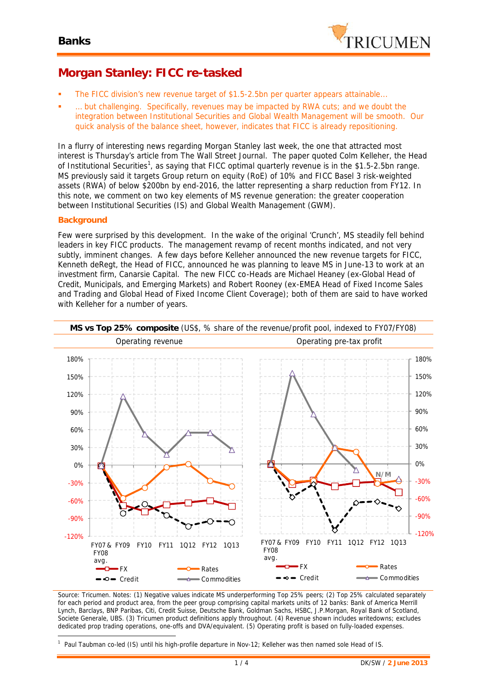

## **Morgan Stanley: FICC re-tasked**

- The FICC division's new revenue target of \$1.5-2.5bn per quarter appears attainable...
- ... but challenging. Specifically, revenues may be impacted by RWA cuts; and we doubt the integration between Institutional Securities and Global Wealth Management will be smooth. Our quick analysis of the balance sheet, however, indicates that FICC is already repositioning.

In a flurry of interesting news regarding Morgan Stanley last week, the one that attracted most interest is Thursday's article from The Wall Street Journal. The paper quoted Colm Kelleher, the Head of Institutional Securities<sup>1</sup>, as saying that FICC optimal quarterly revenue is in the \$1.5-2.5bn range. MS previously said it targets Group return on equity (RoE) of 10% and FICC Basel 3 risk-weighted assets (RWA) of below \$200bn by end-2016, the latter representing a sharp reduction from FY12. In this note, we comment on two key elements of MS revenue generation: the greater cooperation between Institutional Securities (IS) and Global Wealth Management (GWM).

#### **Background**

Few were surprised by this development. In the wake of the original 'Crunch', MS steadily fell behind leaders in key FICC products. The management revamp of recent months indicated, and not very subtly, imminent changes. A few days before Kelleher announced the new revenue targets for FICC, Kenneth deRegt, the Head of FICC, announced he was planning to leave MS in June-13 to work at an investment firm, Canarsie Capital. The new FICC co-Heads are Michael Heaney (ex-Global Head of Credit, Municipals, and Emerging Markets) and Robert Rooney (ex-EMEA Head of Fixed Income Sales and Trading and Global Head of Fixed Income Client Coverage); both of them are said to have worked with Kelleher for a number of years.



*Source: Tricumen. Notes: (1) Negative values indicate MS underperforming Top 25% peers; (2) Top 25% calculated separately for each period and product area, from the peer group comprising capital markets units of 12 banks: Bank of America Merrill Lynch, Barclays, BNP Paribas, Citi, Credit Suisse, Deutsche Bank, Goldman Sachs, HSBC, J.P.Morgan, Royal Bank of Scotland, Societe Generale, UBS. (3) Tricumen product definitions apply throughout. (4) Revenue shown includes writedowns; excludes dedicated prop trading operations, one-offs and DVA/equivalent. (5) Operating profit is based on fully-loaded expenses.*

<sup>1</sup> *Paul Taubman co-led (IS) until his high-profile departure in Nov-12; Kelleher was then named sole Head of IS.*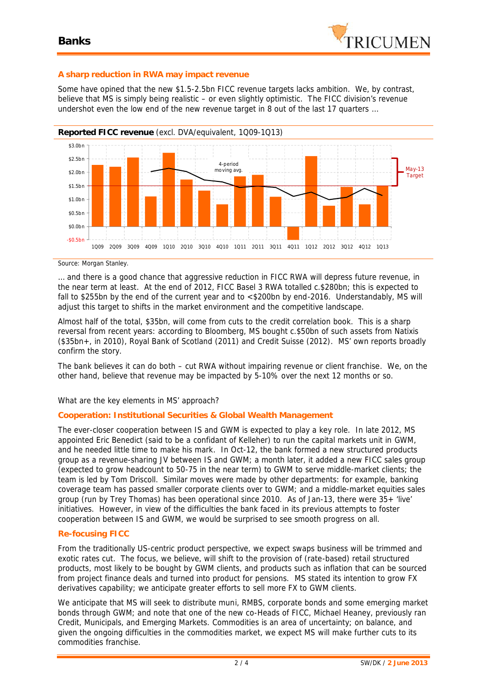

#### **A sharp reduction in RWA may impact revenue**

Some have opined that the new \$1.5-2.5bn FICC revenue targets lacks ambition. We, by contrast, believe that MS is simply being realistic – or even slightly optimistic. The FICC division's revenue undershot even the low end of the new revenue target in 8 out of the last 17 quarters …



*Source: Morgan Stanley.*

… *and*there is a good chance that aggressive reduction in FICC RWA will depress future revenue, in the near term at least. At the end of 2012, FICC Basel 3 RWA totalled c.\$280bn; this is expected to fall to \$255bn by the end of the current year and to <\$200bn by end-2016. Understandably, MS will adjust this target to shifts in the market environment and the competitive landscape.

Almost half of the total, \$35bn, will come from cuts to the credit correlation book. This is a sharp reversal from recent years: according to Bloomberg, MS bought c.\$50bn of such assets from Natixis (\$35bn+, in 2010), Royal Bank of Scotland (2011) and Credit Suisse (2012). MS' own reports broadly confirm the story.

The bank believes it can do both – cut RWA without impairing revenue or client franchise. We, on the other hand, believe that revenue may be impacted by 5-10% over the next 12 months or so.

What are the key elements in MS' approach?

### **Cooperation: Institutional Securities & Global Wealth Management**

The ever-closer cooperation between IS and GWM is expected to play a key role. In late 2012, MS appointed Eric Benedict (said to be a confidant of Kelleher) to run the capital markets unit in GWM, and he needed little time to make his mark. In Oct-12, the bank formed a new structured products group as a revenue-sharing JV between IS and GWM; a month later, it added a new FICC sales group (expected to grow headcount to 50-75 in the near term) to GWM to serve middle-market clients; the team is led by Tom Driscoll. Similar moves were made by other departments: for example, banking coverage team has passed smaller corporate clients over to GWM; and a middle-market equities sales group (run by Trey Thomas) has been operational since 2010. As of Jan-13, there were 35+ 'live' initiatives. However, in view of the difficulties the bank faced in its previous attempts to foster cooperation between IS and GWM, we would be surprised to see smooth progress on all.

### **Re-focusing FICC**

From the traditionally US-centric product perspective, we expect swaps business will be trimmed and exotic rates cut. The focus, we believe, will shift to the provision of (rate-based) retail structured products, most likely to be bought by GWM clients, and products such as inflation that can be sourced from project finance deals and turned into product for pensions. MS stated its intention to grow FX derivatives capability; we anticipate greater efforts to sell more FX to GWM clients.

We anticipate that MS will seek to distribute muni, RMBS, corporate bonds and some emerging market bonds through GWM; and note that one of the new co-Heads of FICC, Michael Heaney, previously ran Credit, Municipals, and Emerging Markets. Commodities is an area of uncertainty; on balance, and given the ongoing difficulties in the commodities market, we expect MS will make further cuts to its commodities franchise.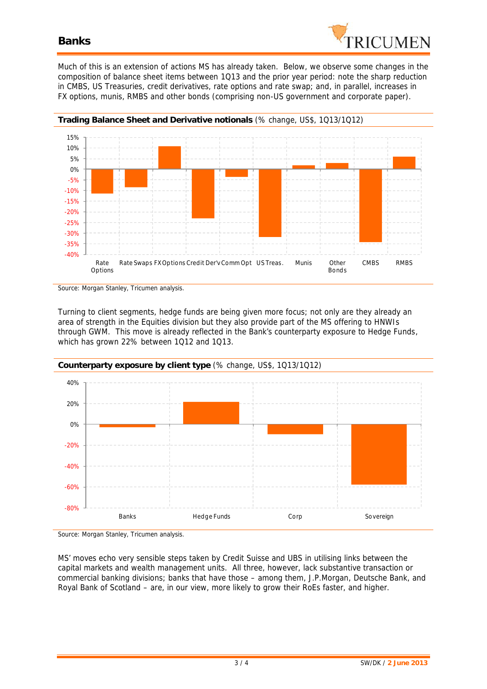

Much of this is an extension of actions MS has already taken. Below, we observe some changes in the composition of balance sheet items between 1Q13 and the prior year period: note the sharp reduction in CMBS, US Treasuries, credit derivatives, rate options and rate swap; and, in parallel, increases in FX options, munis, RMBS and other bonds (comprising non-US government and corporate paper).



*Source: Morgan Stanley, Tricumen analysis.*

Turning to client segments, hedge funds are being given more focus; not only are they already an area of strength in the Equities division but they also provide part of the MS offering to HNWIs through GWM. This move is already reflected in the Bank's counterparty exposure to Hedge Funds, which has grown 22% between 1Q12 and 1Q13.





MS' moves echo very sensible steps taken by Credit Suisse and UBS in utilising links between the capital markets and wealth management units. All three, however, lack substantive transaction or commercial banking divisions; banks that have those – among them, J.P.Morgan, Deutsche Bank, and Royal Bank of Scotland – are, in our view, more likely to grow their RoEs faster, and higher.